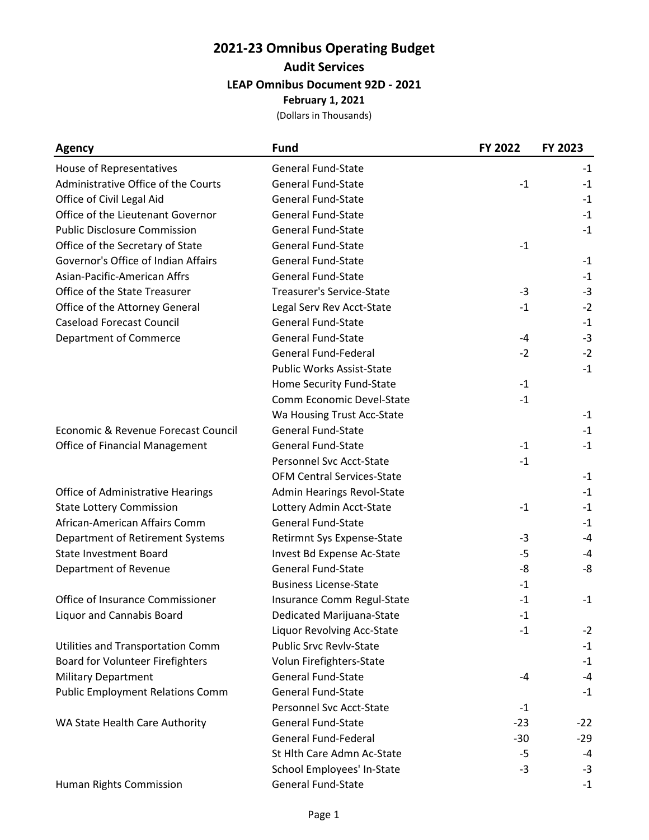## **2021-23 Omnibus Operating Budget Audit Services LEAP Omnibus Document 92D - 2021 February 1, 2021**

(Dollars in Thousands)

| <b>Agency</b>                            | <b>Fund</b>                       | FY 2022 | FY 2023 |
|------------------------------------------|-----------------------------------|---------|---------|
| House of Representatives                 | <b>General Fund-State</b>         |         | $-1$    |
| Administrative Office of the Courts      | <b>General Fund-State</b>         | $-1$    | $-1$    |
| Office of Civil Legal Aid                | <b>General Fund-State</b>         |         | $-1$    |
| Office of the Lieutenant Governor        | <b>General Fund-State</b>         |         | $-1$    |
| <b>Public Disclosure Commission</b>      | <b>General Fund-State</b>         |         | $-1$    |
| Office of the Secretary of State         | <b>General Fund-State</b>         | $-1$    |         |
| Governor's Office of Indian Affairs      | <b>General Fund-State</b>         |         | $-1$    |
| Asian-Pacific-American Affrs             | <b>General Fund-State</b>         |         | $-1$    |
| Office of the State Treasurer            | <b>Treasurer's Service-State</b>  | $-3$    | $-3$    |
| Office of the Attorney General           | Legal Serv Rev Acct-State         | $-1$    | $-2$    |
| <b>Caseload Forecast Council</b>         | <b>General Fund-State</b>         |         | $-1$    |
| <b>Department of Commerce</b>            | <b>General Fund-State</b>         | $-4$    | $-3$    |
|                                          | <b>General Fund-Federal</b>       | $-2$    | $-2$    |
|                                          | <b>Public Works Assist-State</b>  |         | $-1$    |
|                                          | Home Security Fund-State          | $-1$    |         |
|                                          | Comm Economic Devel-State         | $-1$    |         |
|                                          | Wa Housing Trust Acc-State        |         | $-1$    |
| Economic & Revenue Forecast Council      | <b>General Fund-State</b>         |         | $-1$    |
| <b>Office of Financial Management</b>    | <b>General Fund-State</b>         | $-1$    | $-1$    |
|                                          | <b>Personnel Svc Acct-State</b>   | $-1$    |         |
|                                          | <b>OFM Central Services-State</b> |         | $-1$    |
| <b>Office of Administrative Hearings</b> | <b>Admin Hearings Revol-State</b> |         | $-1$    |
| <b>State Lottery Commission</b>          | Lottery Admin Acct-State          | $-1$    | $-1$    |
| African-American Affairs Comm            | <b>General Fund-State</b>         |         | $-1$    |
| Department of Retirement Systems         | Retirmnt Sys Expense-State        | -3      | $-4$    |
| <b>State Investment Board</b>            | Invest Bd Expense Ac-State        | $-5$    | $-4$    |
| Department of Revenue                    | <b>General Fund-State</b>         | -8      | -8      |
|                                          | <b>Business License-State</b>     | $-1$    |         |
| Office of Insurance Commissioner         | Insurance Comm Regul-State        | $-1$    | $-1$    |
| Liquor and Cannabis Board                | Dedicated Marijuana-State         | $-1$    |         |
|                                          | <b>Liquor Revolving Acc-State</b> | $-1$    | $-2$    |
| Utilities and Transportation Comm        | <b>Public Srvc Revlv-State</b>    |         | $-1$    |
| Board for Volunteer Firefighters         | Volun Firefighters-State          |         | $-1$    |
| <b>Military Department</b>               | <b>General Fund-State</b>         | $-4$    | $-4$    |
| <b>Public Employment Relations Comm</b>  | <b>General Fund-State</b>         |         | $-1$    |
|                                          | Personnel Svc Acct-State          | $-1$    |         |
| WA State Health Care Authority           | <b>General Fund-State</b>         | $-23$   | $-22$   |
|                                          | <b>General Fund-Federal</b>       | $-30$   | $-29$   |
|                                          | St Hlth Care Admn Ac-State        | $-5$    | $-4$    |
|                                          | School Employees' In-State        | $-3$    | $-3$    |
| Human Rights Commission                  | General Fund-State                |         | $-1$    |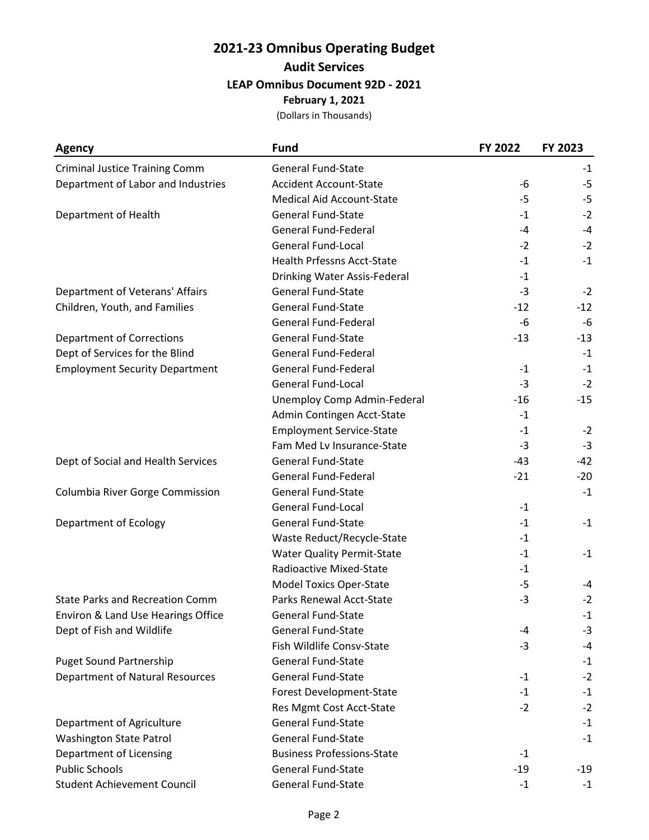## **2021-23 Omnibus Operating Budget Audit Services LEAP Omnibus Document 92D - 2021 February 1, 2021**

(Dollars in Thousands)

| <b>Agency</b>                          | <b>Fund</b>                       | FY 2022 | FY 2023 |
|----------------------------------------|-----------------------------------|---------|---------|
| <b>Criminal Justice Training Comm</b>  | <b>General Fund-State</b>         |         | $-1$    |
| Department of Labor and Industries     | <b>Accident Account-State</b>     | -6      | -5      |
|                                        | <b>Medical Aid Account-State</b>  | -5      | $-5$    |
| Department of Health                   | <b>General Fund-State</b>         | $-1$    | $-2$    |
|                                        | <b>General Fund-Federal</b>       | $-4$    | $-4$    |
|                                        | <b>General Fund-Local</b>         | $-2$    | $-2$    |
|                                        | <b>Health Prfessns Acct-State</b> | $-1$    | $-1$    |
|                                        | Drinking Water Assis-Federal      | $-1$    |         |
| Department of Veterans' Affairs        | <b>General Fund-State</b>         | $-3$    | $-2$    |
| Children, Youth, and Families          | <b>General Fund-State</b>         | $-12$   | $-12$   |
|                                        | <b>General Fund-Federal</b>       | $-6$    | -6      |
| <b>Department of Corrections</b>       | <b>General Fund-State</b>         | $-13$   | $-13$   |
| Dept of Services for the Blind         | General Fund-Federal              |         | $-1$    |
| <b>Employment Security Department</b>  | <b>General Fund-Federal</b>       | $-1$    | $-1$    |
|                                        | General Fund-Local                | $-3$    | $-2$    |
|                                        | Unemploy Comp Admin-Federal       | $-16$   | $-15$   |
|                                        | Admin Contingen Acct-State        | $-1$    |         |
|                                        | <b>Employment Service-State</b>   | $-1$    | $-2$    |
|                                        | Fam Med Lv Insurance-State        | $-3$    | $-3$    |
| Dept of Social and Health Services     | <b>General Fund-State</b>         | -43     | $-42$   |
|                                        | <b>General Fund-Federal</b>       | $-21$   | $-20$   |
| Columbia River Gorge Commission        | <b>General Fund-State</b>         |         | $-1$    |
|                                        | <b>General Fund-Local</b>         | $-1$    |         |
| Department of Ecology                  | <b>General Fund-State</b>         | $-1$    | $-1$    |
|                                        | Waste Reduct/Recycle-State        | $-1$    |         |
|                                        | <b>Water Quality Permit-State</b> | $-1$    | $-1$    |
|                                        | Radioactive Mixed-State           | $-1$    |         |
|                                        | <b>Model Toxics Oper-State</b>    | $-5$    | -4      |
| <b>State Parks and Recreation Comm</b> | Parks Renewal Acct-State          | $-3$    | $-2$    |
| Environ & Land Use Hearings Office     | General Fund-State                |         | $-1$    |
| Dept of Fish and Wildlife              | <b>General Fund-State</b>         | -4      | $-3$    |
|                                        | Fish Wildlife Consv-State         | $-3$    | -4      |
| <b>Puget Sound Partnership</b>         | <b>General Fund-State</b>         |         | $-1$    |
| Department of Natural Resources        | <b>General Fund-State</b>         | $-1$    | $-2$    |
|                                        | Forest Development-State          | $-1$    | $-1$    |
|                                        | Res Mgmt Cost Acct-State          | $-2$    | $-2$    |
| Department of Agriculture              | <b>General Fund-State</b>         |         | $-1$    |
| <b>Washington State Patrol</b>         | <b>General Fund-State</b>         |         | $-1$    |
| Department of Licensing                | <b>Business Professions-State</b> | $-1$    |         |
| <b>Public Schools</b>                  | <b>General Fund-State</b>         | $-19$   | $-19$   |
| <b>Student Achievement Council</b>     | General Fund-State                | $-1$    | $-1$    |